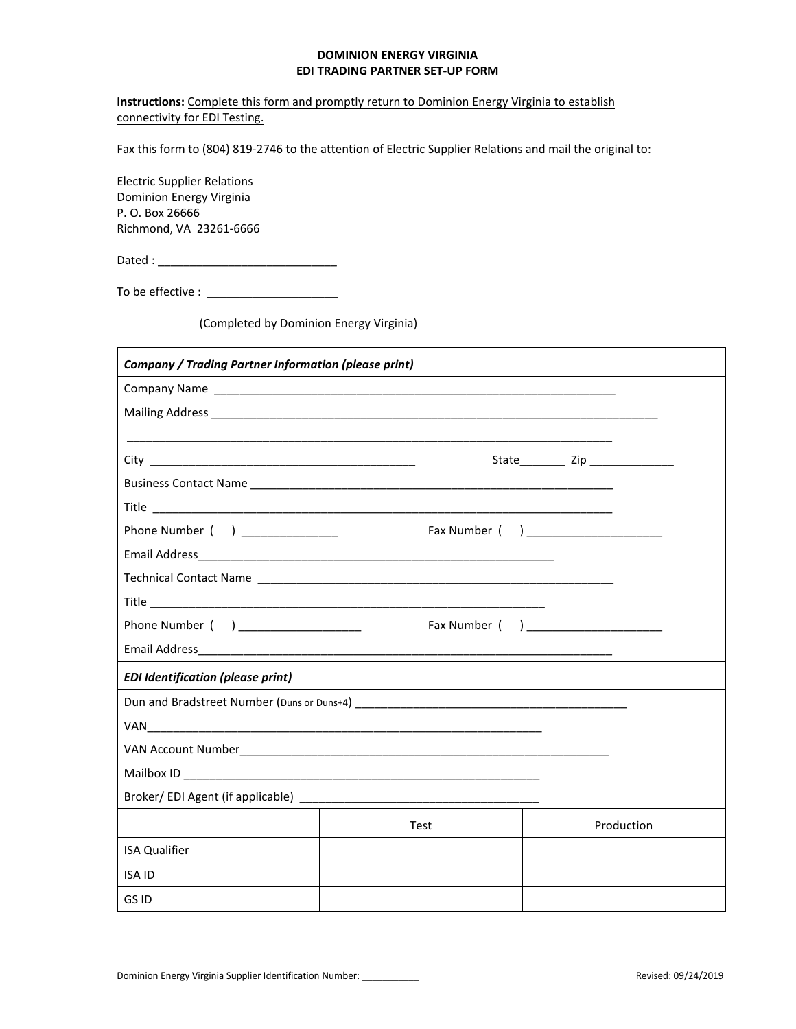## **DOMINION ENERGY VIRGINIA EDI TRADING PARTNER SET-UP FORM**

**Instructions:** Complete this form and promptly return to Dominion Energy Virginia to establish connectivity for EDI Testing.

Fax this form to (804) 819-2746 to the attention of Electric Supplier Relations and mail the original to:

Electric Supplier Relations Dominion Energy Virginia P. O. Box 26666 Richmond, VA 23261-6666

Dated : \_\_\_\_\_\_\_\_\_\_\_\_\_\_\_\_\_\_\_\_\_\_\_\_\_\_\_\_

To be effective : \_\_\_\_\_\_\_\_\_\_\_\_\_\_\_\_\_\_\_\_

(Completed by Dominion Energy Virginia)

| <b>Company / Trading Partner Information (please print)</b> |      |                                         |  |  |  |
|-------------------------------------------------------------|------|-----------------------------------------|--|--|--|
|                                                             |      |                                         |  |  |  |
|                                                             |      |                                         |  |  |  |
|                                                             |      |                                         |  |  |  |
|                                                             |      |                                         |  |  |  |
|                                                             |      |                                         |  |  |  |
|                                                             |      |                                         |  |  |  |
| Phone Number ( ) ______________                             |      | Fax Number ( ) ____________________     |  |  |  |
|                                                             |      |                                         |  |  |  |
|                                                             |      |                                         |  |  |  |
|                                                             |      |                                         |  |  |  |
| Phone Number ( ) ____________________                       |      | Fax Number ( ) ________________________ |  |  |  |
|                                                             |      |                                         |  |  |  |
| <b>EDI Identification (please print)</b>                    |      |                                         |  |  |  |
|                                                             |      |                                         |  |  |  |
|                                                             |      |                                         |  |  |  |
|                                                             |      |                                         |  |  |  |
|                                                             |      |                                         |  |  |  |
|                                                             |      |                                         |  |  |  |
|                                                             | Test | Production                              |  |  |  |
| <b>ISA Qualifier</b>                                        |      |                                         |  |  |  |
| <b>ISA ID</b>                                               |      |                                         |  |  |  |
| GS <sub>ID</sub>                                            |      |                                         |  |  |  |